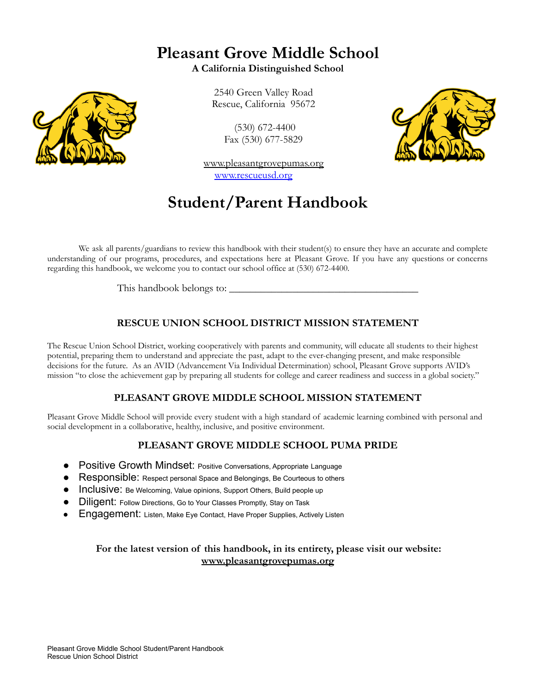## **Pleasant Grove Middle School**

**A California Distinguished School**

2540 Green Valley Road Rescue, California 95672

> (530) 672-4400 Fax (530) 677-5829

www.pleasantgrovepumas.org [www.rescueusd.org](http://www.rescueusd.org)

## **Student/Parent Handbook**

We ask all parents/guardians to review this handbook with their student(s) to ensure they have an accurate and complete understanding of our programs, procedures, and expectations here at Pleasant Grove. If you have any questions or concerns regarding this handbook, we welcome you to contact our school office at (530) 672-4400.

This handbook belongs to:

### **RESCUE UNION SCHOOL DISTRICT MISSION STATEMENT**

The Rescue Union School District, working cooperatively with parents and community, will educate all students to their highest potential, preparing them to understand and appreciate the past, adapt to the ever-changing present, and make responsible decisions for the future. As an AVID (Advancement Via Individual Determination) school, Pleasant Grove supports AVID's mission "to close the achievement gap by preparing all students for college and career readiness and success in a global society."

#### **PLEASANT GROVE MIDDLE SCHOOL MISSION STATEMENT**

Pleasant Grove Middle School will provide every student with a high standard of academic learning combined with personal and social development in a collaborative, healthy, inclusive, and positive environment.

#### **PLEASANT GROVE MIDDLE SCHOOL PUMA PRIDE**

- Positive Growth Mindset: Positive Conversations, Appropriate Language
- Responsible: Respect personal Space and Belongings, Be Courteous to others
- Inclusive: Be Welcoming, Value opinions, Support Others, Build people up
- Diligent: Follow Directions, Go to Your Classes Promptly, Stay on Task
- Engagement: Listen, Make Eye Contact, Have Proper Supplies, Actively Listen

#### **For the latest version of this handbook, in its entirety, please visit our website: www.pleasantgrovepumas.org**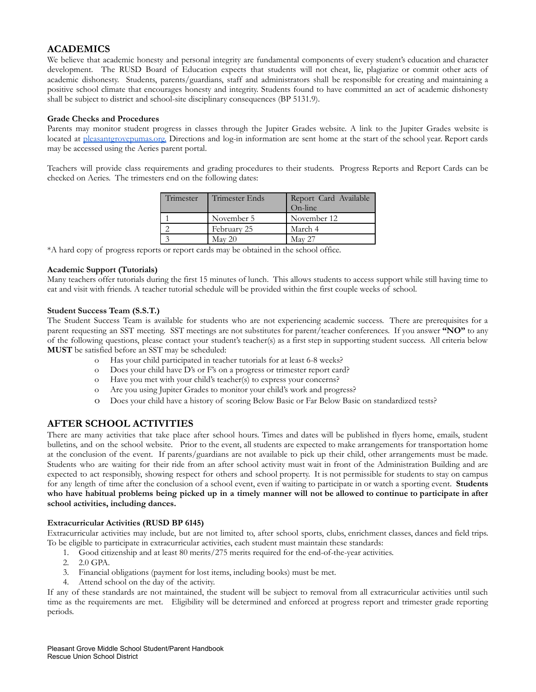#### **ACADEMICS**

We believe that academic honesty and personal integrity are fundamental components of every student's education and character development. The RUSD Board of Education expects that students will not cheat, lie, plagiarize or commit other acts of academic dishonesty. Students, parents/guardians, staff and administrators shall be responsible for creating and maintaining a positive school climate that encourages honesty and integrity. Students found to have committed an act of academic dishonesty shall be subject to district and school-site disciplinary consequences (BP 5131.9).

#### **Grade Checks and Procedures**

Parents may monitor student progress in classes through the Jupiter Grades website. A link to the Jupiter Grades website is located at [pleasantgrovepumas.org.](http://pleasantgrovepumas.org.) Directions and log-in information are sent home at the start of the school year. Report cards may be accessed using the Aeries parent portal.

Teachers will provide class requirements and grading procedures to their students. Progress Reports and Report Cards can be checked on Aeries. The trimesters end on the following dates:

| Trimester | Trimester Ends  | Report Card Available<br>On-line |
|-----------|-----------------|----------------------------------|
|           | November 5      | November 12                      |
|           | February 25     | March 4                          |
|           | $\text{Mav}$ 20 | <b>May 27</b>                    |

\*A hard copy of progress reports or report cards may be obtained in the school office.

#### **Academic Support (Tutorials)**

Many teachers offer tutorials during the first 15 minutes of lunch. This allows students to access support while still having time to eat and visit with friends. A teacher tutorial schedule will be provided within the first couple weeks of school.

#### **Student Success Team (S.S.T.)**

The Student Success Team is available for students who are not experiencing academic success. There are prerequisites for a parent requesting an SST meeting. SST meetings are not substitutes for parent/teacher conferences. If you answer **"NO"** to any of the following questions, please contact your student's teacher(s) as a first step in supporting student success. All criteria below **MUST** be satisfied before an SST may be scheduled:

- o Has your child participated in teacher tutorials for at least 6-8 weeks?
- o Does your child have D's or F's on a progress or trimester report card?
- o Have you met with your child's teacher(s) to express your concerns?
- o Are you using Jupiter Grades to monitor your child's work and progress?
- o Does your child have a history of scoring Below Basic or Far Below Basic on standardized tests?

#### **AFTER SCHOOL ACTIVITIES**

There are many activities that take place after school hours. Times and dates will be published in flyers home, emails, student bulletins, and on the school website. Prior to the event, all students are expected to make arrangements for transportation home at the conclusion of the event. If parents/guardians are not available to pick up their child, other arrangements must be made. Students who are waiting for their ride from an after school activity must wait in front of the Administration Building and are expected to act responsibly, showing respect for others and school property. It is not permissible for students to stay on campus for any length of time after the conclusion of a school event, even if waiting to participate in or watch a sporting event. **Students** who have habitual problems being picked up in a timely manner will not be allowed to continue to participate in after **school activities, including dances.**

#### **Extracurricular Activities (RUSD BP 6145)**

Extracurricular activities may include, but are not limited to, after school sports, clubs, enrichment classes, dances and field trips. To be eligible to participate in extracurricular activities, each student must maintain these standards:

- 1. Good citizenship and at least 80 merits/275 merits required for the end-of-the-year activities.
- 2. 2.0 GPA.
- 3. Financial obligations (payment for lost items, including books) must be met.
- 4. Attend school on the day of the activity.

If any of these standards are not maintained, the student will be subject to removal from all extracurricular activities until such time as the requirements are met. Eligibility will be determined and enforced at progress report and trimester grade reporting periods.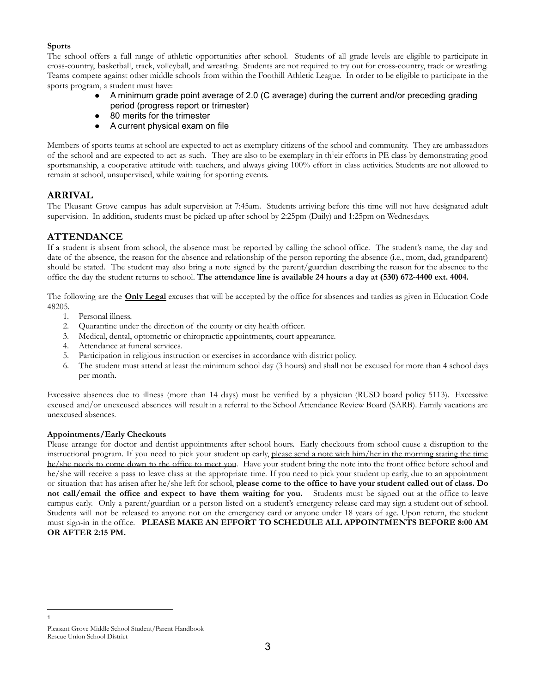#### **Sports**

The school offers a full range of athletic opportunities after school. Students of all grade levels are eligible to participate in cross-country, basketball, track, volleyball, and wrestling. Students are not required to try out for cross-country, track or wrestling. Teams compete against other middle schools from within the Foothill Athletic League. In order to be eligible to participate in the sports program, a student must have:

- A minimum grade point average of 2.0 (C average) during the current and/or preceding grading period (progress report or trimester)
- 80 merits for the trimester
- A current physical exam on file

Members of sports teams at school are expected to act as exemplary citizens of the school and community. They are ambassadors of the school and are expected to act as such. They are also to be exemplary in th<sup>1</sup>eir efforts in PE class by demonstrating good sportsmanship, a cooperative attitude with teachers, and always giving 100% effort in class activities. Students are not allowed to remain at school, unsupervised, while waiting for sporting events.

#### **ARRIVAL**

The Pleasant Grove campus has adult supervision at 7:45am. Students arriving before this time will not have designated adult supervision. In addition, students must be picked up after school by 2:25pm (Daily) and 1:25pm on Wednesdays.

#### **ATTENDANCE**

If a student is absent from school, the absence must be reported by calling the school office. The student's name, the day and date of the absence, the reason for the absence and relationship of the person reporting the absence (i.e., mom, dad, grandparent) should be stated. The student may also bring a note signed by the parent/guardian describing the reason for the absence to the office the day the student returns to school. **The attendance line is available 24 hours a day at (530) 672-4400 ext. 4004.**

The following are the **Only Legal** excuses that will be accepted by the office for absences and tardies as given in Education Code 48205.

- 1. Personal illness.
- 2. Quarantine under the direction of the county or city health officer.
- 3. Medical, dental, optometric or chiropractic appointments, court appearance.
- 4. Attendance at funeral services.
- 5. Participation in religious instruction or exercises in accordance with district policy.
- 6. The student must attend at least the minimum school day (3 hours) and shall not be excused for more than 4 school days per month.

Excessive absences due to illness (more than 14 days) must be verified by a physician (RUSD board policy 5113). Excessive excused and/or unexcused absences will result in a referral to the School Attendance Review Board (SARB). Family vacations are unexcused absences.

#### **Appointments/Early Checkouts**

Please arrange for doctor and dentist appointments after school hours. Early checkouts from school cause a disruption to the instructional program. If you need to pick your student up early, please send a note with him/her in the morning stating the time he/she needs to come down to the office to meet you. Have your student bring the note into the front office before school and he/she will receive a pass to leave class at the appropriate time. If you need to pick your student up early, due to an appointment or situation that has arisen after he/she left for school, please come to the office to have your student called out of class. Do **not call/email the office and expect to have them waiting for you.** Students must be signed out at the office to leave campus early. Only a parent/guardian or a person listed on a student's emergency release card may sign a student out of school. Students will not be released to anyone not on the emergency card or anyone under 18 years of age. Upon return, the student must sign-in in the office. **PLEASE MAKE AN EFFORT TO SCHEDULE ALL APPOINTMENTS BEFORE 8:00 AM OR AFTER 2:15 PM.**

1

Pleasant Grove Middle School Student/Parent Handbook Rescue Union School District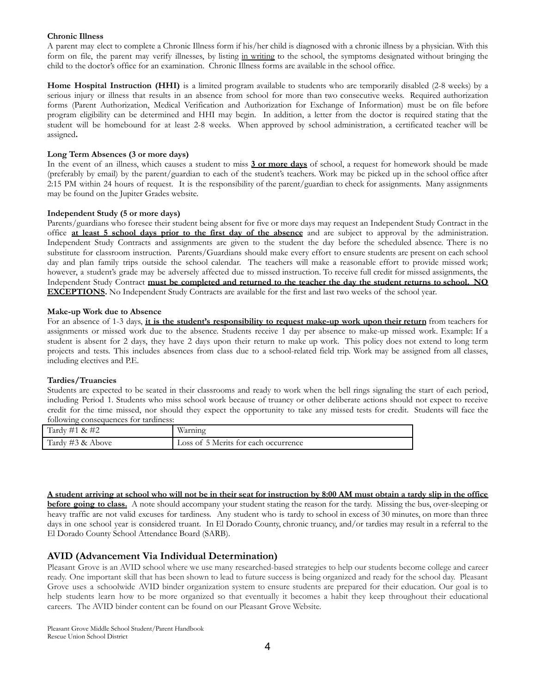#### **Chronic Illness**

A parent may elect to complete a Chronic Illness form if his/her child is diagnosed with a chronic illness by a physician. With this form on file, the parent may verify illnesses, by listing in writing to the school, the symptoms designated without bringing the child to the doctor's office for an examination. Chronic Illness forms are available in the school office.

**Home Hospital Instruction (HHI)** is a limited program available to students who are temporarily disabled (2-8 weeks) by a serious injury or illness that results in an absence from school for more than two consecutive weeks. Required authorization forms (Parent Authorization, Medical Verification and Authorization for Exchange of Information) must be on file before program eligibility can be determined and HHI may begin. In addition, a letter from the doctor is required stating that the student will be homebound for at least 2-8 weeks. When approved by school administration, a certificated teacher will be assigned**.**

#### **Long Term Absences (3 or more days)**

In the event of an illness, which causes a student to miss **3 or more days** of school, a request for homework should be made (preferably by email) by the parent/guardian to each of the student's teachers. Work may be picked up in the school office after 2:15 PM within 24 hours of request. It is the responsibility of the parent/guardian to check for assignments. Many assignments may be found on the Jupiter Grades website.

#### **Independent Study (5 or more days)**

Parents/guardians who foresee their student being absent for five or more days may request an Independent Study Contract in the office **at least 5 school days prior to the first day of the absence** and are subject to approval by the administration. Independent Study Contracts and assignments are given to the student the day before the scheduled absence. There is no substitute for classroom instruction. Parents/Guardians should make every effort to ensure students are present on each school day and plan family trips outside the school calendar. The teachers will make a reasonable effort to provide missed work; however, a student's grade may be adversely affected due to missed instruction. To receive full credit for missed assignments, the Independent Study Contract must be completed and returned to the teacher the day the student returns to school. NO **EXCEPTIONS.** No Independent Study Contracts are available for the first and last two weeks of the school year.

#### **Make-up Work due to Absence**

For an absence of 1-3 days, **it is the student's responsibility to request make-up work upon their return** from teachers for assignments or missed work due to the absence. Students receive 1 day per absence to make-up missed work. Example: If a student is absent for 2 days, they have 2 days upon their return to make up work. This policy does not extend to long term projects and tests. This includes absences from class due to a school-related field trip. Work may be assigned from all classes, including electives and P.E.

#### **Tardies/Truancies**

Students are expected to be seated in their classrooms and ready to work when the bell rings signaling the start of each period, including Period 1. Students who miss school work because of truancy or other deliberate actions should not expect to receive credit for the time missed, nor should they expect the opportunity to take any missed tests for credit. Students will face the following consequences for tardiness:

| Tardy #1 & #2    | <b>WITT</b><br>Warning               |
|------------------|--------------------------------------|
| Tardy #3 & Above | Loss of 5 Merits for each occurrence |

#### A student arriving at school who will not be in their seat for instruction by 8:00 AM must obtain a tardy slip in the office

**before going to class.** A note should accompany your student stating the reason for the tardy. Missing the bus, over-sleeping or heavy traffic are not valid excuses for tardiness. Any student who is tardy to school in excess of 30 minutes, on more than three days in one school year is considered truant. In El Dorado County, chronic truancy, and/or tardies may result in a referral to the El Dorado County School Attendance Board (SARB).

#### **AVID (Advancement Via Individual Determination)**

Pleasant Grove is an AVID school where we use many researched-based strategies to help our students become college and career ready. One important skill that has been shown to lead to future success is being organized and ready for the school day. Pleasant Grove uses a schoolwide AVID binder organization system to ensure students are prepared for their education. Our goal is to help students learn how to be more organized so that eventually it becomes a habit they keep throughout their educational careers. The AVID binder content can be found on our Pleasant Grove Website.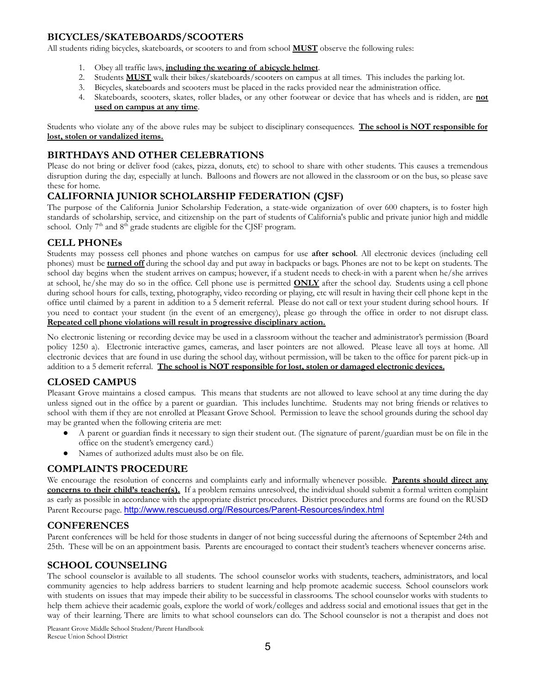#### **BICYCLES/SKATEBOARDS/SCOOTERS**

All students riding bicycles, skateboards, or scooters to and from school **MUST** observe the following rules:

- 1. Obey all traffic laws, **including the wearing of abicycle helmet**.
- 2. Students **MUST** walk their bikes/skateboards/scooters on campus at all times. This includes the parking lot.
- 3. Bicycles, skateboards and scooters must be placed in the racks provided near the administration office.
- 4. Skateboards, scooters, skates, roller blades, or any other footwear or device that has wheels and is ridden, are **not used on campus at any time**.

Students who violate any of the above rules may be subject to disciplinary consequences. **The school is NOT responsible for lost, stolen or vandalized items.**

#### **BIRTHDAYS AND OTHER CELEBRATIONS**

Please do not bring or deliver food (cakes, pizza, donuts, etc) to school to share with other students. This causes a tremendous disruption during the day, especially at lunch. Balloons and flowers are not allowed in the classroom or on the bus, so please save these for home.

#### **CALIFORNIA JUNIOR SCHOLARSHIP FEDERATION (CJSF)**

The purpose of the California Junior Scholarship Federation, a state-wide organization of over 600 chapters, is to foster high standards of scholarship, service, and citizenship on the part of students of California's public and private junior high and middle school. Only  $7<sup>th</sup>$  and  $8<sup>th</sup>$  grade students are eligible for the CJSF program.

#### **CELL PHONEs**

Students may possess cell phones and phone watches on campus for use **after school**. All electronic devices (including cell phones) must be **turned off** during the school day and put away in backpacks or bags. Phones are not to be kept on students. The school day begins when the student arrives on campus; however, if a student needs to check-in with a parent when he/she arrives at school, he/she may do so in the office. Cell phone use is permitted **ONLY** after the school day. Students using a cell phone during school hours for calls, texting, photography, video recording or playing, etc will result in having their cell phone kept in the office until claimed by a parent in addition to a 5 demerit referral. Please do not call or text your student during school hours. If you need to contact your student (in the event of an emergency), please go through the office in order to not disrupt class. **Repeated cell phone violations will result in progressive disciplinary action.**

No electronic listening or recording device may be used in a classroom without the teacher and administrator's permission (Board policy 1250 a). Electronic interactive games, cameras, and laser pointers are not allowed. Please leave all toys at home. All electronic devices that are found in use during the school day, without permission, will be taken to the office for parent pick-up in addition to a 5 demerit referral. **The school is NOT responsible for lost, stolen or damaged electronic devices.**

#### **CLOSED CAMPUS**

Pleasant Grove maintains a closed campus. This means that students are not allowed to leave school at any time during the day unless signed out in the office by a parent or guardian. This includes lunchtime. Students may not bring friends or relatives to school with them if they are not enrolled at Pleasant Grove School. Permission to leave the school grounds during the school day may be granted when the following criteria are met:

- A parent or guardian finds it necessary to sign their student out. (The signature of parent/guardian must be on file in the office on the student's emergency card.)
- Names of authorized adults must also be on file.

#### **COMPLAINTS PROCEDURE**

We encourage the resolution of concerns and complaints early and informally whenever possible. **Parents should direct any concerns to their child's teacher(s).** If a problem remains unresolved, the individual should submit a formal written complaint as early as possible in accordance with the appropriate district procedures. District procedures and forms are found on the RUSD Parent Recourse page. [http://www.rescueusd.org//Resources/Parent-Resources/index.html](http://www.rescueusd.org/Resources/Parent-Resources/index.html)

#### **CONFERENCES**

Parent conferences will be held for those students in danger of not being successful during the afternoons of September 24th and 25th. These will be on an appointment basis. Parents are encouraged to contact their student's teachers whenever concerns arise.

#### **SCHOOL COUNSELING**

The school counselor is available to all students. The school counselor works with students, teachers, administrators, and local community agencies to help address barriers to student learning and help promote academic success. School counselors work with students on issues that may impede their ability to be successful in classrooms. The school counselor works with students to help them achieve their academic goals, explore the world of work/colleges and address social and emotional issues that get in the way of their learning. There are limits to what school counselors can do. The School counselor is not a therapist and does not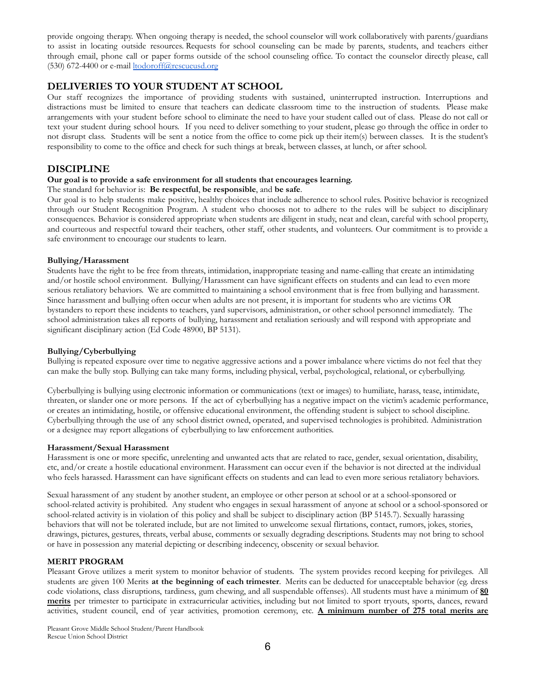provide ongoing therapy. When ongoing therapy is needed, the school counselor will work collaboratively with parents/guardians to assist in locating outside resources. Requests for school counseling can be made by parents, students, and teachers either through email, phone call or paper forms outside of the school counseling office. To contact the counselor directly please, call (530) 672-4400 or e-mail [ltodoroff@rescueusd.org](mailto:ltodoroff@rescueusd.org)

#### **DELIVERIES TO YOUR STUDENT AT SCHOOL**

Our staff recognizes the importance of providing students with sustained, uninterrupted instruction. Interruptions and distractions must be limited to ensure that teachers can dedicate classroom time to the instruction of students. Please make arrangements with your student before school to eliminate the need to have your student called out of class. Please do not call or text your student during school hours. If you need to deliver something to your student, please go through the office in order to not disrupt class. Students will be sent a notice from the office to come pick up their item(s) between classes. It is the student's responsibility to come to the office and check for such things at break, between classes, at lunch, or after school.

#### **DISCIPLINE**

#### **Our goal is to provide a safe environment for all students that encourages learning.**

#### The standard for behavior is: **Be respectful**, **be responsible**, and **be safe**.

Our goal is to help students make positive, healthy choices that include adherence to school rules. Positive behavior is recognized through our Student Recognition Program. A student who chooses not to adhere to the rules will be subject to disciplinary consequences. Behavior is considered appropriate when students are diligent in study, neat and clean, careful with school property, and courteous and respectful toward their teachers, other staff, other students, and volunteers. Our commitment is to provide a safe environment to encourage our students to learn.

#### **Bullying/Harassment**

Students have the right to be free from threats, intimidation, inappropriate teasing and name-calling that create an intimidating and/or hostile school environment. Bullying/Harassment can have significant effects on students and can lead to even more serious retaliatory behaviors. We are committed to maintaining a school environment that is free from bullying and harassment. Since harassment and bullying often occur when adults are not present, it is important for students who are victims OR bystanders to report these incidents to teachers, yard supervisors, administration, or other school personnel immediately. The school administration takes all reports of bullying, harassment and retaliation seriously and will respond with appropriate and significant disciplinary action (Ed Code 48900, BP 5131).

#### **Bullying/Cyberbullying**

Bullying is repeated exposure over time to negative aggressive actions and a power imbalance where victims do not feel that they can make the bully stop. Bullying can take many forms, including physical, verbal, psychological, relational, or cyberbullying.

Cyberbullying is bullying using electronic information or communications (text or images) to humiliate, harass, tease, intimidate, threaten, or slander one or more persons. If the act of cyberbullying has a negative impact on the victim's academic performance, or creates an intimidating, hostile, or offensive educational environment, the offending student is subject to school discipline. Cyberbullying through the use of any school district owned, operated, and supervised technologies is prohibited. Administration or a designee may report allegations of cyberbullying to law enforcement authorities.

#### **Harassment/Sexual Harassment**

Harassment is one or more specific, unrelenting and unwanted acts that are related to race, gender, sexual orientation, disability, etc, and/or create a hostile educational environment. Harassment can occur even if the behavior is not directed at the individual who feels harassed. Harassment can have significant effects on students and can lead to even more serious retaliatory behaviors.

Sexual harassment of any student by another student, an employee or other person at school or at a school-sponsored or school-related activity is prohibited. Any student who engages in sexual harassment of anyone at school or a school-sponsored or school-related activity is in violation of this policy and shall be subject to disciplinary action (BP 5145.7). Sexually harassing behaviors that will not be tolerated include, but are not limited to unwelcome sexual flirtations, contact, rumors, jokes, stories, drawings, pictures, gestures, threats, verbal abuse, comments or sexually degrading descriptions. Students may not bring to school or have in possession any material depicting or describing indecency, obscenity or sexual behavior.

#### **MERIT PROGRAM**

Pleasant Grove utilizes a merit system to monitor behavior of students. The system provides record keeping for privileges. All students are given 100 Merits **at the beginning of each trimester**. Merits can be deducted for unacceptable behavior (eg. dress code violations, class disruptions, tardiness, gum chewing, and all suspendable offenses). All students must have a minimum of **80 merits** per trimester to participate in extracurricular activities, including but not limited to sport tryouts, sports, dances, reward activities, student council, end of year activities, promotion ceremony, etc. **A minimum number of 275 total merits are**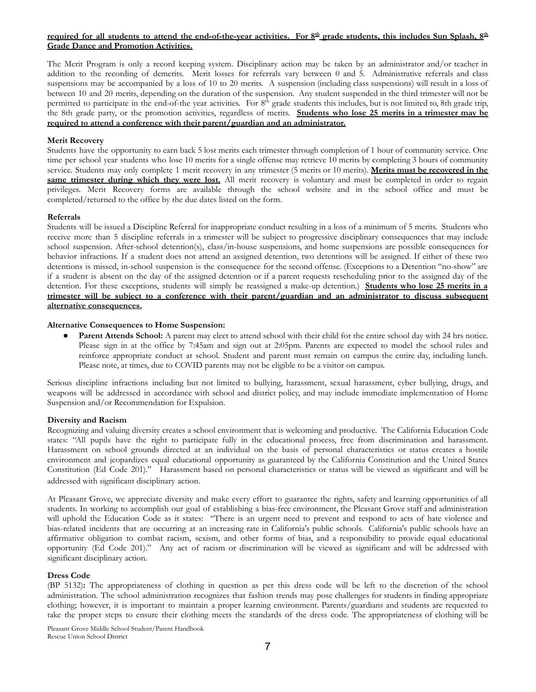#### required for all students to attend the end-of-the-year activities. For 8<sup>th</sup> grade students, this includes Sun Splash, 8<sup>th</sup> **Grade Dance and Promotion Activities.**

The Merit Program is only a record keeping system. Disciplinary action may be taken by an administrator and/or teacher in addition to the recording of demerits. Merit losses for referrals vary between 0 and 5. Administrative referrals and class suspensions may be accompanied by a loss of 10 to 20 merits. A suspension (including class suspensions) will result in a loss of between 10 and 20 merits, depending on the duration of the suspension. Any student suspended in the third trimester will not be permitted to participate in the end-of-the year activities. For 8<sup>th</sup> grade students this includes, but is not limited to, 8th grade trip, the 8th grade party, or the promotion activities, regardless of merits. **Students who lose 25 merits in a trimester may be required to attend a conference with their parent/guardian and an administrator.**

#### **Merit Recovery**

Students have the opportunity to earn back 5 lost merits each trimester through completion of 1 hour of community service. One time per school year students who lose 10 merits for a single offense may retrieve 10 merits by completing 3 hours of community service. Students may only complete 1 merit recovery in any trimester (5 merits or 10 merits). **Merits must be recovered in the same trimester during which they were lost.** All merit recovery is voluntary and must be completed in order to regain privileges. Merit Recovery forms are available through the school website and in the school office and must be completed/returned to the office by the due dates listed on the form.

#### **Referrals**

Students will be issued a Discipline Referral for inappropriate conduct resulting in a loss of a minimum of 5 merits. Students who receive more than 5 discipline referrals in a trimester will be subject to progressive disciplinary consequences that may include school suspension. After-school detention(s), class/in-house suspensions, and home suspensions are possible consequences for behavior infractions. If a student does not attend an assigned detention, two detentions will be assigned. If either of these two detentions is missed, in-school suspension is the consequence for the second offense. (Exceptions to a Detention "no-show" are if a student is absent on the day of the assigned detention or if a parent requests rescheduling prior to the assigned day of the detention. For these exceptions, students will simply be reassigned a make-up detention.) **Students who lose 25 merits in a trimester will be subject to a conference with their parent/guardian and an administrator to discuss subsequent alternative consequences.**

#### **Alternative Consequences to Home Suspension:**

Parent Attends School: A parent may elect to attend school with their child for the entire school day with 24 hrs notice. Please sign in at the office by 7:45am and sign out at 2:05pm. Parents are expected to model the school rules and reinforce appropriate conduct at school. Student and parent must remain on campus the entire day, including lunch. Please note, at times, due to COVID parents may not be eligible to be a visitor on campus.

Serious discipline infractions including but not limited to bullying, harassment, sexual harassment, cyber bullying, drugs, and weapons will be addressed in accordance with school and district policy, and may include immediate implementation of Home Suspension and/or Recommendation for Expulsion.

#### **Diversity and Racism**

Recognizing and valuing diversity creates a school environment that is welcoming and productive. The California Education Code states: "All pupils have the right to participate fully in the educational process, free from discrimination and harassment. Harassment on school grounds directed at an individual on the basis of personal characteristics or status creates a hostile environment and jeopardizes equal educational opportunity as guaranteed by the California Constitution and the United States Constitution (Ed Code 201)." Harassment based on personal characteristics or status will be viewed as significant and will be addressed with significant disciplinary action.

At Pleasant Grove, we appreciate diversity and make every effort to guarantee the rights, safety and learning opportunities of all students. In working to accomplish our goal of establishing a bias-free environment, the Pleasant Grove staff and administration will uphold the Education Code as it states: "There is an urgent need to prevent and respond to acts of hate violence and bias-related incidents that are occurring at an increasing rate in California's public schools. California's public schools have an affirmative obligation to combat racism, sexism, and other forms of bias, and a responsibility to provide equal educational opportunity (Ed Code 201)." Any act of racism or discrimination will be viewed as significant and will be addressed with significant disciplinary action.

#### **Dress Code**

(BP 5132)**:** The appropriateness of clothing in question as per this dress code will be left to the discretion of the school administration. The school administration recognizes that fashion trends may pose challenges for students in finding appropriate clothing; however, it is important to maintain a proper learning environment. Parents/guardians and students are requested to take the proper steps to ensure their clothing meets the standards of the dress code. The appropriateness of clothing will be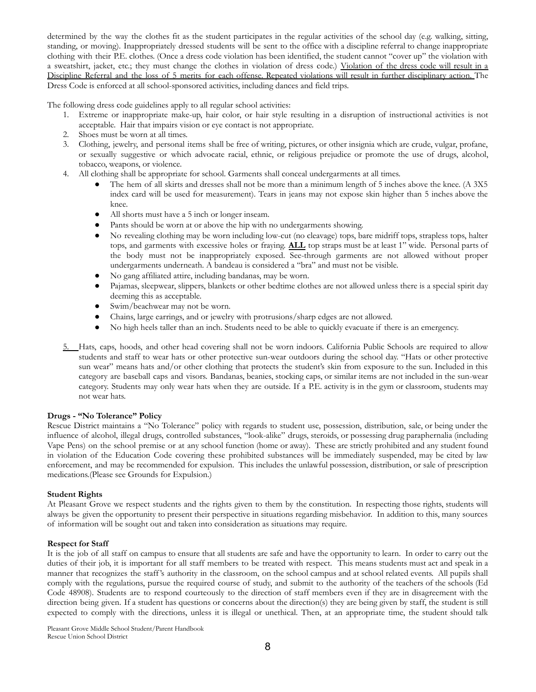determined by the way the clothes fit as the student participates in the regular activities of the school day (e.g. walking, sitting, standing, or moving). Inappropriately dressed students will be sent to the office with a discipline referral to change inappropriate clothing with their P.E. clothes. (Once a dress code violation has been identified, the student cannot "cover up" the violation with a sweatshirt, jacket, etc.; they must change the clothes in violation of dress code.) Violation of the dress code will result in a Discipline Referral and the loss of 5 merits for each offense. Repeated violations will result in further disciplinary action. The Dress Code is enforced at all school-sponsored activities, including dances and field trips.

The following dress code guidelines apply to all regular school activities:

- 1. Extreme or inappropriate make-up, hair color, or hair style resulting in a disruption of instructional activities is not acceptable. Hair that impairs vision or eye contact is not appropriate.
- 2. Shoes must be worn at all times.
- 3. Clothing, jewelry, and personal items shall be free of writing, pictures, or other insignia which are crude, vulgar, profane, or sexually suggestive or which advocate racial, ethnic, or religious prejudice or promote the use of drugs, alcohol, tobacco, weapons, or violence.
- 4. All clothing shall be appropriate for school. Garments shall conceal undergarments at all times.
	- The hem of all skirts and dresses shall not be more than a minimum length of 5 inches above the knee. (A 3X5 index card will be used for measurement). Tears in jeans may not expose skin higher than 5 inches above the knee.
	- All shorts must have a 5 inch or longer inseam.
	- Pants should be worn at or above the hip with no undergarments showing.
	- No revealing clothing may be worn including low-cut (no cleavage) tops, bare midriff tops, strapless tops, halter tops, and garments with excessive holes or fraying. **ALL** top straps must be at least 1" wide. Personal parts of the body must not be inappropriately exposed. See-through garments are not allowed without proper undergarments underneath. A bandeau is considered a "bra" and must not be visible.
	- No gang affiliated attire, including bandanas, may be worn.
	- Pajamas, sleepwear, slippers, blankets or other bedtime clothes are not allowed unless there is a special spirit day deeming this as acceptable.
	- Swim/beachwear may not be worn.
	- Chains, large earrings, and or jewelry with protrusions/sharp edges are not allowed.
	- No high heels taller than an inch. Students need to be able to quickly evacuate if there is an emergency.
- 5. Hats, caps, hoods, and other head covering shall not be worn indoors. California Public Schools are required to allow students and staff to wear hats or other protective sun-wear outdoors during the school day. "Hats or other protective sun wear" means hats and/or other clothing that protects the student's skin from exposure to the sun. Included in this category are baseball caps and visors. Bandanas, beanies, stocking caps, or similar items are not included in the sun-wear category. Students may only wear hats when they are outside. If a P.E. activity is in the gym or classroom, students may not wear hats.

#### **Drugs - "No Tolerance" Policy**

Rescue District maintains a "No Tolerance" policy with regards to student use, possession, distribution, sale, or being under the influence of alcohol, illegal drugs, controlled substances, "look-alike" drugs, steroids, or possessing drug paraphernalia (including Vape Pens) on the school premise or at any school function (home or away). These are strictly prohibited and any student found in violation of the Education Code covering these prohibited substances will be immediately suspended, may be cited by law enforcement, and may be recommended for expulsion. This includes the unlawful possession, distribution, or sale of prescription medications.(Please see Grounds for Expulsion.)

#### **Student Rights**

At Pleasant Grove we respect students and the rights given to them by the constitution. In respecting those rights, students will always be given the opportunity to present their perspective in situations regarding misbehavior. In addition to this, many sources of information will be sought out and taken into consideration as situations may require.

#### **Respect for Staff**

It is the job of all staff on campus to ensure that all students are safe and have the opportunity to learn. In order to carry out the duties of their job, it is important for all staff members to be treated with respect. This means students must act and speak in a manner that recognizes the staff's authority in the classroom, on the school campus and at school related events. All pupils shall comply with the regulations, pursue the required course of study, and submit to the authority of the teachers of the schools (Ed Code 48908). Students are to respond courteously to the direction of staff members even if they are in disagreement with the direction being given. If a student has questions or concerns about the direction(s) they are being given by staff, the student is still expected to comply with the directions, unless it is illegal or unethical. Then, at an appropriate time, the student should talk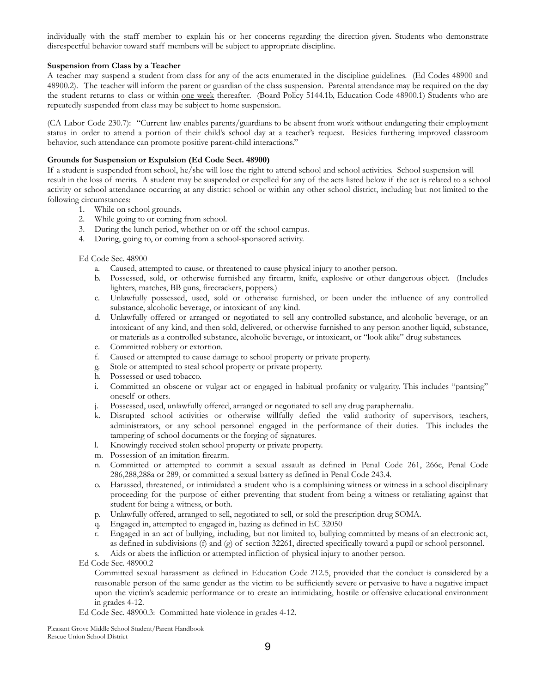individually with the staff member to explain his or her concerns regarding the direction given. Students who demonstrate disrespectful behavior toward staff members will be subject to appropriate discipline.

#### **Suspension from Class by a Teacher**

A teacher may suspend a student from class for any of the acts enumerated in the discipline guidelines. (Ed Codes 48900 and 48900.2). The teacher will inform the parent or guardian of the class suspension. Parental attendance may be required on the day the student returns to class or within <u>one week</u> thereafter. (Board Policy 5144.1b, Education Code 48900.1) Students who are repeatedly suspended from class may be subject to home suspension.

(CA Labor Code 230.7): "Current law enables parents/guardians to be absent from work without endangering their employment status in order to attend a portion of their child's school day at a teacher's request. Besides furthering improved classroom behavior, such attendance can promote positive parent-child interactions."

#### **Grounds for Suspension or Expulsion (Ed Code Sect. 48900)**

If a student is suspended from school, he/she will lose the right to attend school and school activities. School suspension will result in the loss of merits. A student may be suspended or expelled for any of the acts listed below if the act is related to a school activity or school attendance occurring at any district school or within any other school district, including but not limited to the following circumstances:

- 1. While on school grounds.
- 2. While going to or coming from school.
- 3. During the lunch period, whether on or off the school campus.
- 4. During, going to, or coming from a school-sponsored activity.

Ed Code Sec. 48900

- a. Caused, attempted to cause, or threatened to cause physical injury to another person.
- b. Possessed, sold, or otherwise furnished any firearm, knife, explosive or other dangerous object. (Includes lighters, matches, BB guns, firecrackers, poppers.)
- c. Unlawfully possessed, used, sold or otherwise furnished, or been under the influence of any controlled substance, alcoholic beverage, or intoxicant of any kind.
- d. Unlawfully offered or arranged or negotiated to sell any controlled substance, and alcoholic beverage, or an intoxicant of any kind, and then sold, delivered, or otherwise furnished to any person another liquid, substance, or materials as a controlled substance, alcoholic beverage, or intoxicant, or "look alike" drug substances.
- e. Committed robbery or extortion.
- f. Caused or attempted to cause damage to school property or private property.
- g. Stole or attempted to steal school property or private property.
- h. Possessed or used tobacco.
- i. Committed an obscene or vulgar act or engaged in habitual profanity or vulgarity. This includes "pantsing" oneself or others.
- j. Possessed, used, unlawfully offered, arranged or negotiated to sell any drug paraphernalia.
- k. Disrupted school activities or otherwise willfully defied the valid authority of supervisors, teachers, administrators, or any school personnel engaged in the performance of their duties. This includes the tampering of school documents or the forging of signatures.
- l. Knowingly received stolen school property or private property.
- m. Possession of an imitation firearm.
- n. Committed or attempted to commit a sexual assault as defined in Penal Code 261, 266c, Penal Code 286,288,288a or 289, or committed a sexual battery as defined in Penal Code 243.4.
- o. Harassed, threatened, or intimidated a student who is a complaining witness or witness in a school disciplinary proceeding for the purpose of either preventing that student from being a witness or retaliating against that student for being a witness, or both.
- p. Unlawfully offered, arranged to sell, negotiated to sell, or sold the prescription drug SOMA.
- q. Engaged in, attempted to engaged in, hazing as defined in EC 32050
- r. Engaged in an act of bullying, including, but not limited to, bullying committed by means of an electronic act, as defined in subdivisions (f) and (g) of section 32261, directed specifically toward a pupil or school personnel.
- Aids or abets the infliction or attempted infliction of physical injury to another person.

Ed Code Sec. 48900.2

Committed sexual harassment as defined in Education Code 212.5, provided that the conduct is considered by a reasonable person of the same gender as the victim to be sufficiently severe or pervasive to have a negative impact upon the victim's academic performance or to create an intimidating, hostile or offensive educational environment in grades 4-12.

Ed Code Sec. 48900.3: Committed hate violence in grades 4-12.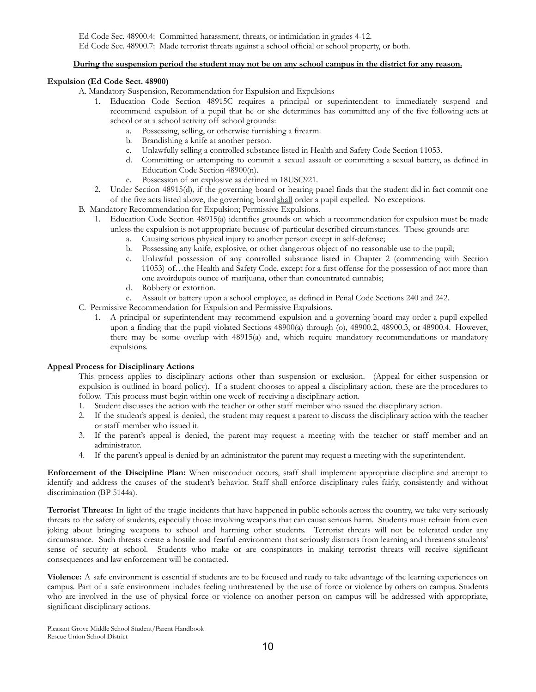#### During the suspension period the student may not be on any school campus in the district for any reason.

#### **Expulsion (Ed Code Sect. 48900)**

- A. Mandatory Suspension, Recommendation for Expulsion and Expulsions
	- 1. Education Code Section 48915C requires a principal or superintendent to immediately suspend and recommend expulsion of a pupil that he or she determines has committed any of the five following acts at school or at a school activity off school grounds:
		- a. Possessing, selling, or otherwise furnishing a firearm.
		- b. Brandishing a knife at another person.
		- c. Unlawfully selling a controlled substance listed in Health and Safety Code Section 11053.
		- d. Committing or attempting to commit a sexual assault or committing a sexual battery, as defined in Education Code Section 48900(n).
		- e. Possession of an explosive as defined in 18USC921.
	- 2. Under Section 48915(d), if the governing board or hearing panel finds that the student did in fact commit one of the five acts listed above, the governing boardshall order a pupil expelled. No exceptions.
- B. Mandatory Recommendation for Expulsion; Permissive Expulsions.
	- 1. Education Code Section 48915(a) identifies grounds on which a recommendation for expulsion must be made unless the expulsion is not appropriate because of particular described circumstances. These grounds are:
		- a. Causing serious physical injury to another person except in self-defense;
		- b. Possessing any knife, explosive, or other dangerous object of no reasonable use to the pupil;
		- c. Unlawful possession of any controlled substance listed in Chapter 2 (commencing with Section 11053) of…the Health and Safety Code, except for a first offense for the possession of not more than one avoirdupois ounce of marijuana, other than concentrated cannabis;
		- d. Robbery or extortion.
		- e. Assault or battery upon a school employee, as defined in Penal Code Sections 240 and 242.
- C. Permissive Recommendation for Expulsion and Permissive Expulsions.
	- 1. A principal or superintendent may recommend expulsion and a governing board may order a pupil expelled upon a finding that the pupil violated Sections 48900(a) through (o), 48900.2, 48900.3, or 48900.4. However, there may be some overlap with 48915(a) and, which require mandatory recommendations or mandatory expulsions.

#### **Appeal Process for Disciplinary Actions**

This process applies to disciplinary actions other than suspension or exclusion. (Appeal for either suspension or expulsion is outlined in board policy). If a student chooses to appeal a disciplinary action, these are the procedures to follow. This process must begin within one week of receiving a disciplinary action.

- 1. Student discusses the action with the teacher or other staff member who issued the disciplinary action.
- 2. If the student's appeal is denied, the student may request a parent to discuss the disciplinary action with the teacher or staff member who issued it.
- 3. If the parent's appeal is denied, the parent may request a meeting with the teacher or staff member and an administrator.
- 4. If the parent's appeal is denied by an administrator the parent may request a meeting with the superintendent.

**Enforcement of the Discipline Plan:** When misconduct occurs, staff shall implement appropriate discipline and attempt to identify and address the causes of the student's behavior. Staff shall enforce disciplinary rules fairly, consistently and without discrimination (BP 5144a).

**Terrorist Threats:** In light of the tragic incidents that have happened in public schools across the country, we take very seriously threats to the safety of students, especially those involving weapons that can cause serious harm. Students must refrain from even joking about bringing weapons to school and harming other students. Terrorist threats will not be tolerated under any circumstance. Such threats create a hostile and fearful environment that seriously distracts from learning and threatens students' sense of security at school. Students who make or are conspirators in making terrorist threats will receive significant consequences and law enforcement will be contacted.

**Violence:** A safe environment is essential if students are to be focused and ready to take advantage of the learning experiences on campus. Part of a safe environment includes feeling unthreatened by the use of force or violence by others on campus. Students who are involved in the use of physical force or violence on another person on campus will be addressed with appropriate, significant disciplinary actions.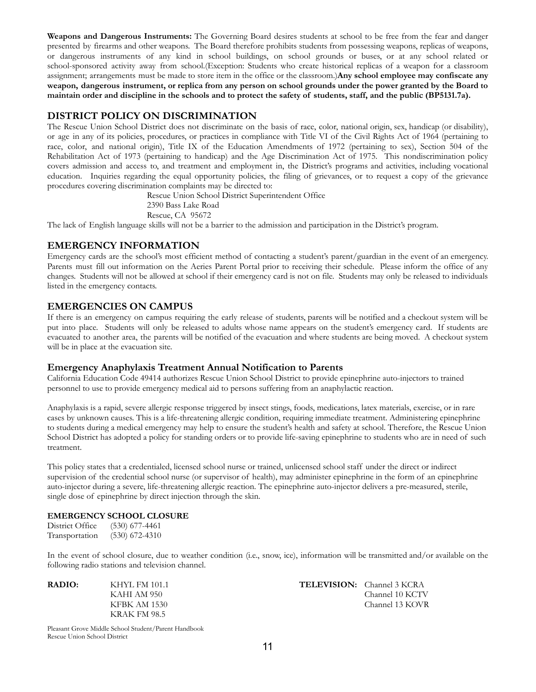**Weapons and Dangerous Instruments:** The Governing Board desires students at school to be free from the fear and danger presented by firearms and other weapons. The Board therefore prohibits students from possessing weapons, replicas of weapons, or dangerous instruments of any kind in school buildings, on school grounds or buses, or at any school related or school-sponsored activity away from school.(Exception: Students who create historical replicas of a weapon for a classroom assignment; arrangements must be made to store item in the office or the classroom.)**Any school employee may confiscate any** weapon, dangerous instrument, or replica from any person on school grounds under the power granted by the Board to maintain order and discipline in the schools and to protect the safety of students, staff, and the public (BP5131.7a).

#### **DISTRICT POLICY ON DISCRIMINATION**

The Rescue Union School District does not discriminate on the basis of race, color, national origin, sex, handicap (or disability), or age in any of its policies, procedures, or practices in compliance with Title VI of the Civil Rights Act of 1964 (pertaining to race, color, and national origin), Title IX of the Education Amendments of 1972 (pertaining to sex), Section 504 of the Rehabilitation Act of 1973 (pertaining to handicap) and the Age Discrimination Act of 1975. This nondiscrimination policy covers admission and access to, and treatment and employment in, the District's programs and activities, including vocational education. Inquiries regarding the equal opportunity policies, the filing of grievances, or to request a copy of the grievance procedures covering discrimination complaints may be directed to:

Rescue Union School District Superintendent Office

- 2390 Bass Lake Road
- Rescue, CA 95672

The lack of English language skills will not be a barrier to the admission and participation in the District's program.

#### **EMERGENCY INFORMATION**

Emergency cards are the school's most efficient method of contacting a student's parent/guardian in the event of an emergency. Parents must fill out information on the Aeries Parent Portal prior to receiving their schedule. Please inform the office of any changes. Students will not be allowed at school if their emergency card is not on file. Students may only be released to individuals listed in the emergency contacts.

#### **EMERGENCIES ON CAMPUS**

If there is an emergency on campus requiring the early release of students, parents will be notified and a checkout system will be put into place. Students will only be released to adults whose name appears on the student's emergency card. If students are evacuated to another area, the parents will be notified of the evacuation and where students are being moved. A checkout system will be in place at the evacuation site.

#### **Emergency Anaphylaxis Treatment Annual Notification to Parents**

California Education Code 49414 authorizes Rescue Union School District to provide epinephrine auto-injectors to trained personnel to use to provide emergency medical aid to persons suffering from an anaphylactic reaction.

Anaphylaxis is a rapid, severe allergic response triggered by insect stings, foods, medications, latex materials, exercise, or in rare cases by unknown causes. This is a life-threatening allergic condition, requiring immediate treatment. Administering epinephrine to students during a medical emergency may help to ensure the student's health and safety at school. Therefore, the Rescue Union School District has adopted a policy for standing orders or to provide life-saving epinephrine to students who are in need of such treatment.

This policy states that a credentialed, licensed school nurse or trained, unlicensed school staff under the direct or indirect supervision of the credential school nurse (or supervisor of health), may administer epinephrine in the form of an epinephrine auto-injector during a severe, life-threatening allergic reaction. The epinephrine auto-injector delivers a pre-measured, sterile, single dose of epinephrine by direct injection through the skin.

#### **EMERGENCY SCHOOL CLOSURE**

District Office (530) 677-4461 Transportation (530) 672-4310

In the event of school closure, due to weather condition (i.e., snow, ice), information will be transmitted and/or available on the following radio stations and television channel.

KRAK FM 98.5

**RADIO:** KHYL FM 101.1 **TELEVISION:** Channel 3 KCRA<br>
KAHI AM 950 **Channel 10 KCTV** Channel 10 KCTV KFBK AM 1530 Channel 13 KOVR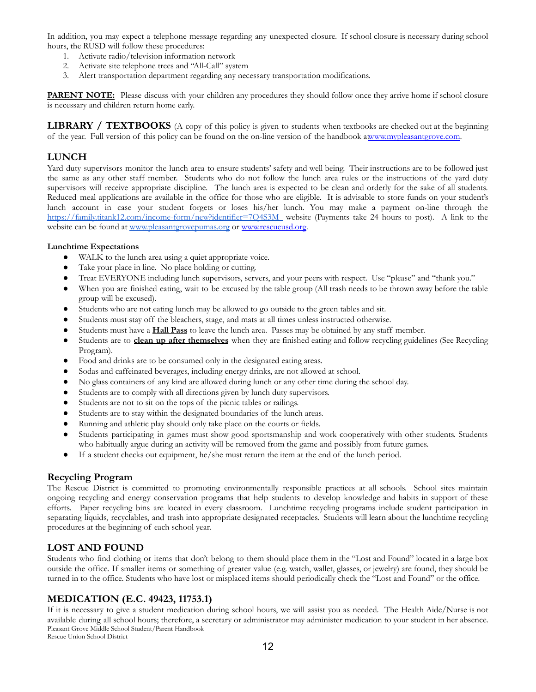In addition, you may expect a telephone message regarding any unexpected closure. If school closure is necessary during school hours, the RUSD will follow these procedures:

- 1. Activate radio/television information network
- 2. Activate site telephone trees and "All-Call" system
- 3. Alert transportation department regarding any necessary transportation modifications.

**PARENT NOTE:** Please discuss with your children any procedures they should follow once they arrive home if school closure is necessary and children return home early.

**LIBRARY / TEXTBOOKS** (A copy of this policy is given to students when textbooks are checked out at the beginning of the year. Full version of this policy can be found on the on-line version of the handbook a[twww.mypleasantgrove.com.](http://www.mypleasantgrove.com)

#### **LUNCH**

Yard duty supervisors monitor the lunch area to ensure students' safety and well being. Their instructions are to be followed just the same as any other staff member. Students who do not follow the lunch area rules or the instructions of the yard duty supervisors will receive appropriate discipline. The lunch area is expected to be clean and orderly for the sake of all students. Reduced meal applications are available in the office for those who are eligible. It is advisable to store funds on your student's lunch account in case your student forgets or loses his/her lunch. You may make a payment on-line through the https://family.titank12.com/income-form/new?identifier=7O4S3M website (Payments take 24 hours to post). A link to the website can be found at [www.pleasantgrovepumas.org](http://www.pleasantgrovepumas.org) or [www.rescueusd.org.](http://www.rescueusd.org)

#### **Lunchtime Expectations**

- WALK to the lunch area using a quiet appropriate voice.
- Take your place in line. No place holding or cutting.
- Treat EVERYONE including lunch supervisors, servers, and your peers with respect. Use "please" and "thank you."
- When you are finished eating, wait to be excused by the table group (All trash needs to be thrown away before the table group will be excused).
- Students who are not eating lunch may be allowed to go outside to the green tables and sit.
- Students must stay off the bleachers, stage, and mats at all times unless instructed otherwise.
- Students must have a **Hall Pass** to leave the lunch area. Passes may be obtained by any staff member.
- Students are to **clean up after themselves** when they are finished eating and follow recycling guidelines (See Recycling Program).
- Food and drinks are to be consumed only in the designated eating areas.
- Sodas and caffeinated beverages, including energy drinks, are not allowed at school.
- No glass containers of any kind are allowed during lunch or any other time during the school day.
- Students are to comply with all directions given by lunch duty supervisors.
- Students are not to sit on the tops of the picnic tables or railings.
- Students are to stay within the designated boundaries of the lunch areas.
- Running and athletic play should only take place on the courts or fields.
- Students participating in games must show good sportsmanship and work cooperatively with other students. Students who habitually argue during an activity will be removed from the game and possibly from future games.
- If a student checks out equipment, he/she must return the item at the end of the lunch period.

#### **Recycling Program**

The Rescue District is committed to promoting environmentally responsible practices at all schools. School sites maintain ongoing recycling and energy conservation programs that help students to develop knowledge and habits in support of these efforts. Paper recycling bins are located in every classroom. Lunchtime recycling programs include student participation in separating liquids, recyclables, and trash into appropriate designated receptacles. Students will learn about the lunchtime recycling procedures at the beginning of each school year.

#### **LOST AND FOUND**

Students who find clothing or items that don't belong to them should place them in the "Lost and Found" located in a large box outside the office. If smaller items or something of greater value (e.g. watch, wallet, glasses, or jewelry) are found, they should be turned in to the office. Students who have lost or misplaced items should periodically check the "Lost and Found" or the office.

#### **MEDICATION (E.C. 49423, 11753.1)**

If it is necessary to give a student medication during school hours, we will assist you as needed. The Health Aide/Nurse is not available during all school hours; therefore, a secretary or administrator may administer medication to your student in her absence. Pleasant Grove Middle School Student/Parent Handbook

Rescue Union School District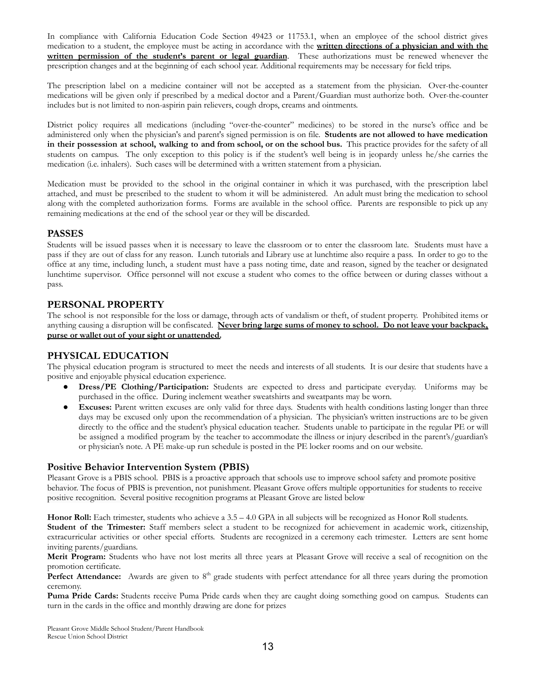In compliance with California Education Code Section 49423 or 11753.1, when an employee of the school district gives medication to a student, the employee must be acting in accordance with the **written directions of a physician and with the written permission of the student's parent or legal guardian**. These authorizations must be renewed whenever the prescription changes and at the beginning of each school year. Additional requirements may be necessary for field trips.

The prescription label on a medicine container will not be accepted as a statement from the physician. Over-the-counter medications will be given only if prescribed by a medical doctor and a Parent/Guardian must authorize both. Over-the-counter includes but is not limited to non-aspirin pain relievers, cough drops, creams and ointments.

District policy requires all medications (including "over-the-counter" medicines) to be stored in the nurse's office and be administered only when the physician's and parent's signed permission is on file. **Students are not allowed to have medication** in their possession at school, walking to and from school, or on the school bus. This practice provides for the safety of all students on campus. The only exception to this policy is if the student's well being is in jeopardy unless he/she carries the medication (i.e. inhalers). Such cases will be determined with a written statement from a physician.

Medication must be provided to the school in the original container in which it was purchased, with the prescription label attached, and must be prescribed to the student to whom it will be administered. An adult must bring the medication to school along with the completed authorization forms. Forms are available in the school office. Parents are responsible to pick up any remaining medications at the end of the school year or they will be discarded.

#### **PASSES**

Students will be issued passes when it is necessary to leave the classroom or to enter the classroom late. Students must have a pass if they are out of class for any reason. Lunch tutorials and Library use at lunchtime also require a pass. In order to go to the office at any time, including lunch, a student must have a pass noting time, date and reason, signed by the teacher or designated lunchtime supervisor. Office personnel will not excuse a student who comes to the office between or during classes without a pass.

#### **PERSONAL PROPERTY**

The school is not responsible for the loss or damage, through acts of vandalism or theft, of student property. Prohibited items or anything causing a disruption will be confiscated. **Never bring large sums of money to school. Do not leave your backpack, purse or wallet out of your sight or unattended.**

#### **PHYSICAL EDUCATION**

The physical education program is structured to meet the needs and interests of all students. It is our desire that students have a positive and enjoyable physical education experience.

- **Dress/PE** Clothing/Participation: Students are expected to dress and participate everyday. Uniforms may be purchased in the office. During inclement weather sweatshirts and sweatpants may be worn.
- Excuses: Parent written excuses are only valid for three days. Students with health conditions lasting longer than three days may be excused only upon the recommendation of a physician. The physician's written instructions are to be given directly to the office and the student's physical education teacher. Students unable to participate in the regular PE or will be assigned a modified program by the teacher to accommodate the illness or injury described in the parent's/guardian's or physician's note. A PE make-up run schedule is posted in the PE locker rooms and on our website.

#### **Positive Behavior Intervention System (PBIS)**

Pleasant Grove is a PBIS school. PBIS is a proactive approach that schools use to improve school safety and promote positive behavior. The focus of PBIS is prevention, not punishment. Pleasant Grove offers multiple opportunities for students to receive positive recognition. Several positive recognition programs at Pleasant Grove are listed below

**Honor Roll:** Each trimester, students who achieve a 3.5 – 4.0 GPA in all subjects will be recognized as Honor Roll students. **Student of the Trimester:** Staff members select a student to be recognized for achievement in academic work, citizenship, extracurricular activities or other special efforts. Students are recognized in a ceremony each trimester. Letters are sent home inviting parents/guardians.

**Merit Program:** Students who have not lost merits all three years at Pleasant Grove will receive a seal of recognition on the promotion certificate.

Perfect Attendance: Awards are given to 8<sup>th</sup> grade students with perfect attendance for all three years during the promotion ceremony.

**Puma Pride Cards:** Students receive Puma Pride cards when they are caught doing something good on campus. Students can turn in the cards in the office and monthly drawing are done for prizes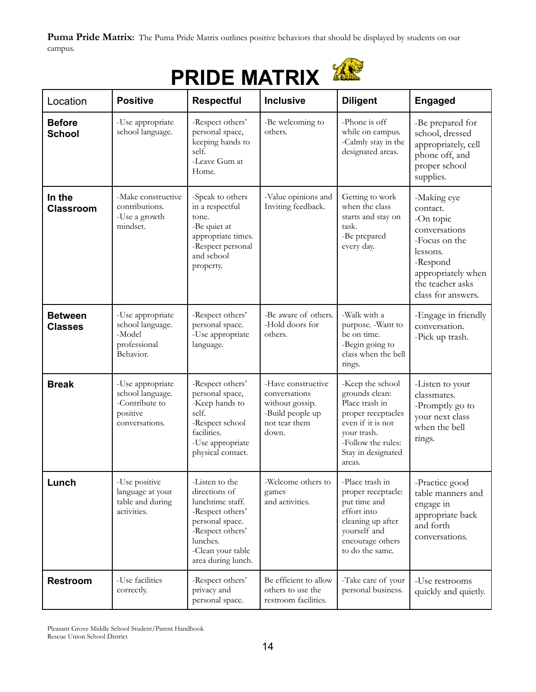Puma Pride Matrix: The Puma Pride Matrix outlines positive behaviors that should be displayed by students on our campus.

# **PRIDE MATRIX**

| Location                         | <b>Positive</b>                                                                      | <b>Respectful</b>                                                                                                                                                     | <b>Inclusive</b>                                                                                     | <b>Diligent</b>                                                                                                                                                      | <b>Engaged</b>                                                                                                                                                 |
|----------------------------------|--------------------------------------------------------------------------------------|-----------------------------------------------------------------------------------------------------------------------------------------------------------------------|------------------------------------------------------------------------------------------------------|----------------------------------------------------------------------------------------------------------------------------------------------------------------------|----------------------------------------------------------------------------------------------------------------------------------------------------------------|
| <b>Before</b><br><b>School</b>   | -Use appropriate<br>school language.                                                 | -Respect others'<br>personal space,<br>keeping hands to<br>self.<br>-Leave Gum at<br>Home.                                                                            | -Be welcoming to<br>others.                                                                          | -Phone is off<br>while on campus.<br>-Calmly stay in the<br>designated areas.                                                                                        | -Be prepared for<br>school, dressed<br>appropriately, cell<br>phone off, and<br>proper school<br>supplies.                                                     |
| In the<br><b>Classroom</b>       | -Make constructive<br>contributions.<br>-Use a growth<br>mindset.                    | -Speak to others<br>in a respectful<br>tone.<br>-Be quiet at<br>appropriate times.<br>-Respect personal<br>and school<br>property.                                    | -Value opinions and<br>Inviting feedback.                                                            | Getting to work<br>when the class<br>starts and stay on<br>task.<br>-Be prepared<br>every day.                                                                       | -Making eye<br>contact.<br>-On topic<br>conversations<br>-Focus on the<br>lessons.<br>-Respond<br>appropriately when<br>the teacher asks<br>class for answers. |
| <b>Between</b><br><b>Classes</b> | -Use appropriate<br>school language.<br>-Model<br>professional<br>Behavior.          | -Respect others'<br>personal space.<br>-Use appropriate<br>language.                                                                                                  | -Be aware of others.<br>-Hold doors for<br>others.                                                   | -Walk with a<br>purpose. - Want to<br>be on time.<br>-Begin going to<br>class when the bell<br>rings.                                                                | -Engage in friendly<br>conversation.<br>-Pick up trash.                                                                                                        |
| <b>Break</b>                     | -Use appropriate<br>school language.<br>-Contribute to<br>positive<br>conversations. | -Respect others'<br>personal space,<br>-Keep hands to<br>self.<br>-Respect school<br>facilities.<br>-Use appropriate<br>physical contact.                             | -Have constructive<br>conversations<br>without gossip.<br>-Build people up<br>not tear them<br>down. | -Keep the school<br>grounds clean:<br>Place trash in<br>proper receptacles<br>even if it is not<br>your trash.<br>-Follow the rules:<br>Stay in designated<br>areas. | -Listen to your<br>classmates.<br>-Promptly go to<br>your next class<br>when the bell<br>rings.                                                                |
| Lunch                            | -Use positive<br>language at your<br>table and during<br>activities.                 | -Listen to the<br>directions of<br>lunchtime staff.<br>-Respect others'<br>personal space.<br>-Respect others'<br>lunches.<br>-Clean your table<br>area during lunch. | -Welcome others to<br>games<br>and activities.                                                       | -Place trash in<br>proper receptacle:<br>put time and<br>effort into<br>cleaning up after<br>yourself and<br>encourage others<br>to do the same.                     | -Practice good<br>table manners and<br>engage in<br>appropriate back<br>and forth<br>conversations.                                                            |
| <b>Restroom</b>                  | -Use facilities<br>correctly.                                                        | -Respect others'<br>privacy and<br>personal space.                                                                                                                    | Be efficient to allow<br>others to use the<br>restroom facilities.                                   | -Take care of your<br>personal business.                                                                                                                             | -Use restrooms<br>quickly and quietly.                                                                                                                         |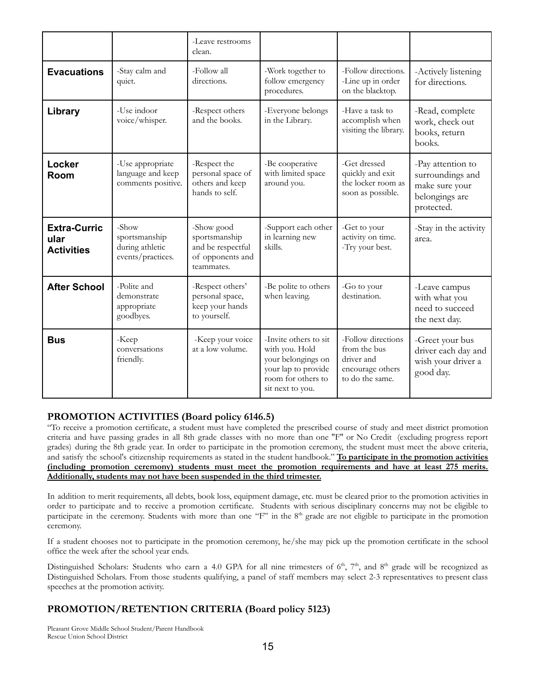|                                                  |                                                                | -Leave restrooms<br>clean.                                                         |                                                                                                                                |                                                                                         |                                                                                         |
|--------------------------------------------------|----------------------------------------------------------------|------------------------------------------------------------------------------------|--------------------------------------------------------------------------------------------------------------------------------|-----------------------------------------------------------------------------------------|-----------------------------------------------------------------------------------------|
| <b>Evacuations</b>                               | -Stay calm and<br>quiet.                                       | -Follow all<br>directions.                                                         | -Work together to<br>follow emergency<br>procedures.                                                                           | -Follow directions.<br>-Line up in order<br>on the blacktop.                            | -Actively listening<br>for directions.                                                  |
| Library                                          | -Use indoor<br>voice/whisper.                                  | -Respect others<br>and the books.                                                  | -Everyone belongs<br>in the Library.                                                                                           | -Have a task to<br>accomplish when<br>visiting the library.                             | -Read, complete<br>work, check out<br>books, return<br>books.                           |
| Locker<br>Room                                   | -Use appropriate<br>language and keep<br>comments positive.    | -Respect the<br>personal space of<br>others and keep<br>hands to self.             | -Be cooperative<br>with limited space<br>around you.                                                                           | -Get dressed<br>quickly and exit<br>the locker room as<br>soon as possible.             | -Pay attention to<br>surroundings and<br>make sure your<br>belongings are<br>protected. |
| <b>Extra-Curric</b><br>ular<br><b>Activities</b> | -Show<br>sportsmanship<br>during athletic<br>events/practices. | -Show good<br>sportsmanship<br>and be respectful<br>of opponents and<br>teammates. | -Support each other<br>in learning new<br>skills.                                                                              | -Get to your<br>activity on time.<br>-Try your best.                                    | -Stay in the activity<br>area.                                                          |
| <b>After School</b>                              | -Polite and<br>demonstrate<br>appropriate<br>goodbyes.         | -Respect others'<br>personal space,<br>keep your hands<br>to yourself.             | -Be polite to others<br>when leaving.                                                                                          | -Go to your<br>destination.                                                             | -Leave campus<br>with what you<br>need to succeed<br>the next day.                      |
| <b>Bus</b>                                       | -Keep<br>conversations<br>friendly.                            | -Keep your voice<br>at a low volume.                                               | -Invite others to sit<br>with you. Hold<br>your belongings on<br>your lap to provide<br>room for others to<br>sit next to you. | -Follow directions<br>from the bus<br>driver and<br>encourage others<br>to do the same. | -Greet your bus<br>driver each day and<br>wish your driver a<br>good day.               |

#### **PROMOTION ACTIVITIES (Board policy 6146.5)**

"To receive a promotion certificate, a student must have completed the prescribed course of study and meet district promotion criteria and have passing grades in all 8th grade classes with no more than one "F" or No Credit (excluding progress report grades) during the 8th grade year. In order to participate in the promotion ceremony, the student must meet the above criteria, and satisfy the school's citizenship requirements as stated in the student handbook." **To participate in the promotion activities (including promotion ceremony) students must meet the promotion requirements and have at least 275 merits. Additionally, students may not have been suspended in the third trimester.**

In addition to merit requirements, all debts, book loss, equipment damage, etc. must be cleared prior to the promotion activities in order to participate and to receive a promotion certificate. Students with serious disciplinary concerns may not be eligible to participate in the ceremony. Students with more than one "F" in the 8<sup>th</sup> grade are not eligible to participate in the promotion ceremony.

If a student chooses not to participate in the promotion ceremony, he/she may pick up the promotion certificate in the school office the week after the school year ends.

Distinguished Scholars: Students who earn a 4.0 GPA for all nine trimesters of 6<sup>th</sup>, 7<sup>th</sup>, and 8<sup>th</sup> grade will be recognized as Distinguished Scholars. From those students qualifying, a panel of staff members may select 2-3 representatives to present class speeches at the promotion activity.

#### **PROMOTION/RETENTION CRITERIA (Board policy 5123)**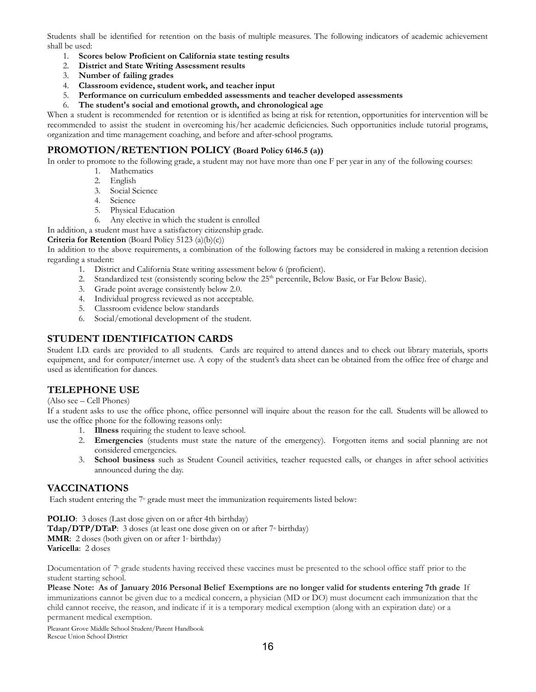Students shall be identified for retention on the basis of multiple measures. The following indicators of academic achievement shall be used:

- 1. **Scores below Proficient on California state testing results**
- 2. **District and State Writing Assessment results**
- 3. **Number of failing grades**
- 4. **Classroom evidence, student work, and teacher input**
- 5. **Performance on curriculum embedded assessments and teacher developed assessments**
- 6. **The student's social and emotional growth, and chronological age**

When a student is recommended for retention or is identified as being at risk for retention, opportunities for intervention will be recommended to assist the student in overcoming his/her academic deficiencies. Such opportunities include tutorial programs, organization and time management coaching, and before and after-school programs.

#### **PROMOTION/RETENTION POLICY (Board Policy 6146.5 (a))**

In order to promote to the following grade, a student may not have more than one F per year in any of the following courses:

- 1. Mathematics
- 2. English
- 3. Social Science
- 4. Science
- 5. Physical Education
- 6. Any elective in which the student is enrolled

In addition, a student must have a satisfactory citizenship grade.

**Criteria for Retention** (Board Policy 5123 (a)(b)(c))

In addition to the above requirements, a combination of the following factors may be considered in making a retention decision regarding a student:

- 1. District and California State writing assessment below 6 (proficient).
- 2. Standardized test (consistently scoring below the 25<sup>th</sup> percentile, Below Basic, or Far Below Basic).
- 3. Grade point average consistently below 2.0.
- 4. Individual progress reviewed as not acceptable.
- 5. Classroom evidence below standards
- 6. Social/emotional development of the student.

#### **STUDENT IDENTIFICATION CARDS**

Student I.D. cards are provided to all students. Cards are required to attend dances and to check out library materials, sports equipment, and for computer/internet use. A copy of the student's data sheet can be obtained from the office free of charge and used as identification for dances.

#### **TELEPHONE USE**

#### (Also see – Cell Phones)

If a student asks to use the office phone, office personnel will inquire about the reason for the call. Students will be allowed to use the office phone for the following reasons only:

- 1. **Illness** requiring the student to leave school.
- 2. **Emergencies** (students must state the nature of the emergency). Forgotten items and social planning are not considered emergencies.
- 3. **School business** such as Student Council activities, teacher requested calls, or changes in after school activities announced during the day.

#### **VACCINATIONS**

Each student entering the  $7<sup>*</sup>$  grade must meet the immunization requirements listed below:

**POLIO**: 3 doses (Last dose given on or after 4th birthday) **Tdap/DTP/DTaP**: 3 doses (at least one dose given on or after 7<sup>th</sup> birthday) **MMR**: 2 doses (both given on or after 1<sup>st</sup> birthday) **Varicella**: 2 doses

Documentation of  $7^{\text{th}}$  grade students having received these vaccines must be presented to the school office staff prior to the student starting school.

Please Note: As of January 2016 Personal Belief Exemptions are no longer valid for students entering 7th grade If immunizations cannot be given due to a medical concern, a physician (MD or DO) must document each immunization that the child cannot receive, the reason, and indicate if it is a temporary medical exemption (along with an expiration date) or a permanent medical exemption.